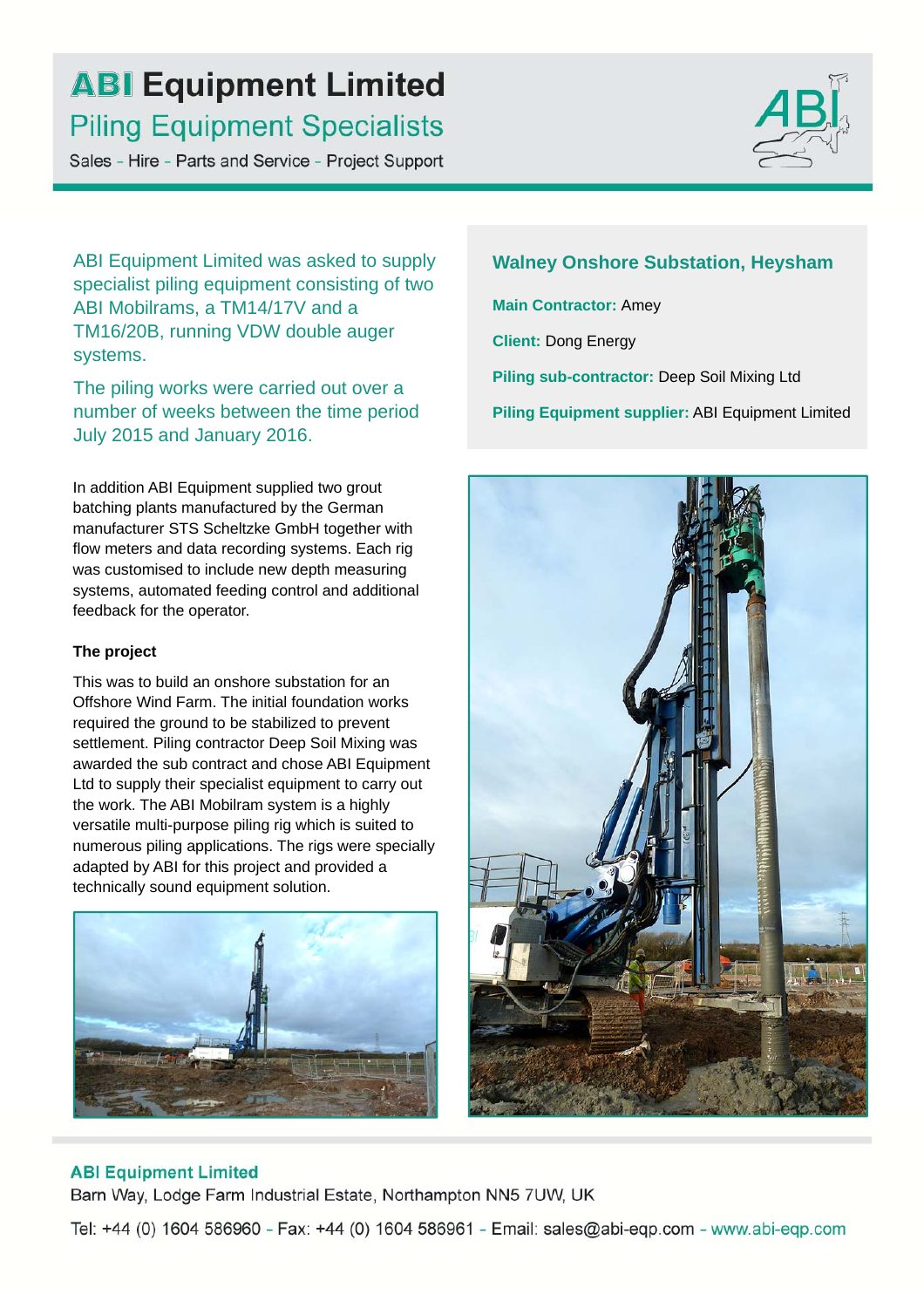# **ABI Equipment Limited Piling Equipment Specialists**

Sales - Hire - Parts and Service - Project Support



ABI Equipment Limited was asked to supply specialist piling equipment consisting of two ABI Mobilrams, a TM14/17V and a TM16/20B, running VDW double auger systems.

The piling works were carried out over a number of weeks between the time period July 2015 and January 2016.

In addition ABI Equipment supplied two grout batching plants manufactured by the German manufacturer STS Scheltzke GmbH together with flow meters and data recording systems. Each rig was customised to include new depth measuring systems, automated feeding control and additional feedback for the operator.

#### **The project**

This was to build an onshore substation for an Offshore Wind Farm. The initial foundation works required the ground to be stabilized to prevent settlement. Piling contractor Deep Soil Mixing was awarded the sub contract and chose ABI Equipment Ltd to supply their specialist equipment to carry out the work. The ABI Mobilram system is a highly versatile multi-purpose piling rig which is suited to numerous piling applications. The rigs were specially adapted by ABI for this project and provided a technically sound equipment solution.



**Walney Onshore Substation, Heysham Main Contractor:** Amey **Client:** Dong Energy **Piling sub-contractor:** Deep Soil Mixing Ltd **Piling Equipment supplier:** ABI Equipment Limited



## **ABI Equipment Limited**

Barn Way, Lodge Farm Industrial Estate, Northampton NN5 7UW, UK

Tel: +44 (0) 1604 586960 - Fax: +44 (0) 1604 586961 - Email: sales@abi-eqp.com - www.abi-eqp.com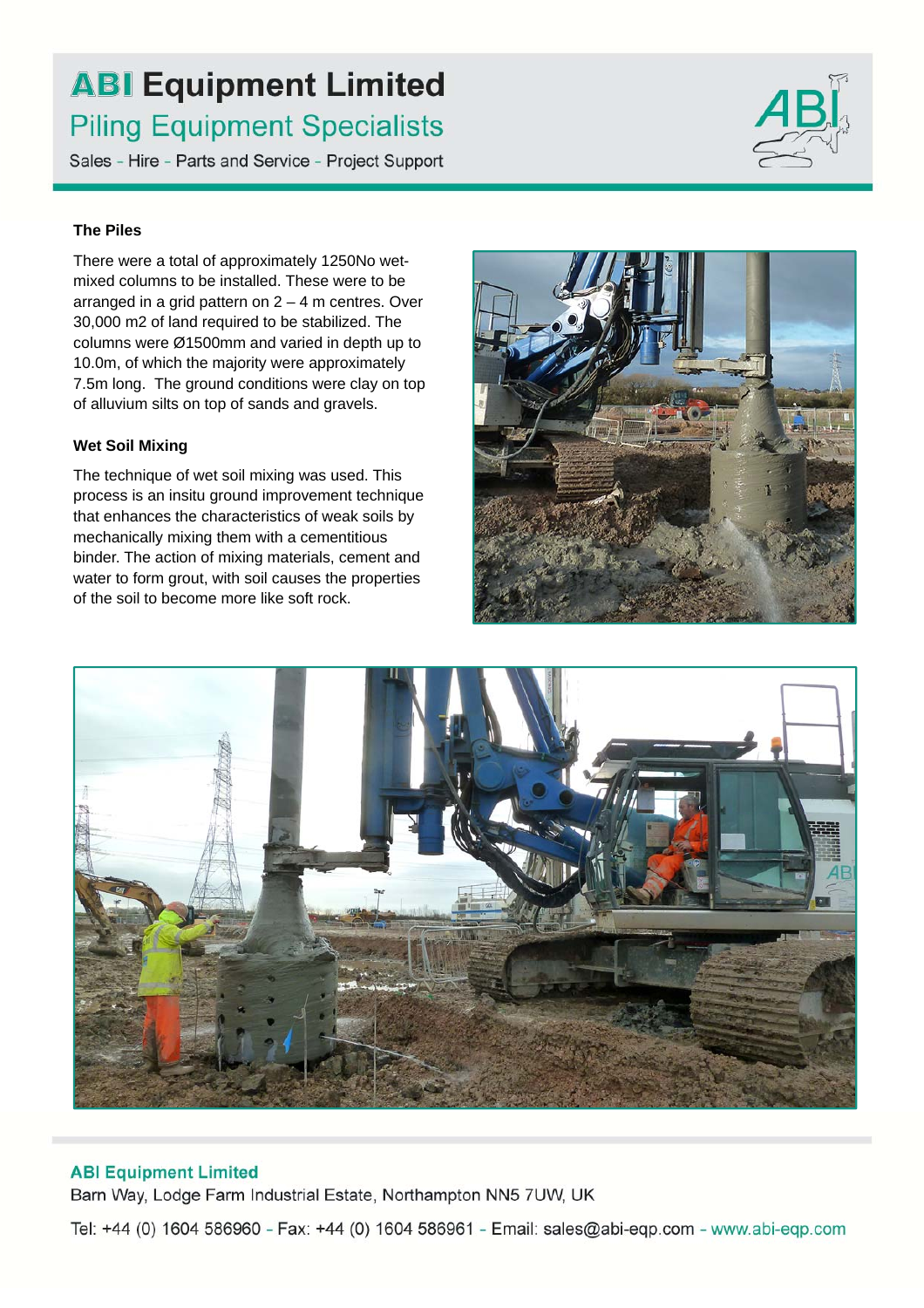# **ABI Equipment Limited Piling Equipment Specialists**

Sales - Hire - Parts and Service - Project Support

## **The Piles**

There were a total of approximately 1250No wetmixed columns to be installed. These were to be arranged in a grid pattern on  $2 - 4$  m centres. Over 30,000 m2 of land required to be stabilized. The columns were Ø1500mm and varied in depth up to 10.0m, of which the majority were approximately 7.5m long. The ground conditions were clay on top of alluvium silts on top of sands and gravels.

## **Wet Soil Mixing**

The technique of wet soil mixing was used. This process is an insitu ground improvement technique that enhances the characteristics of weak soils by mechanically mixing them with a cementitious binder. The action of mixing materials, cement and water to form grout, with soil causes the properties of the soil to become more like soft rock.





## **ABI Equipment Limited**

Barn Way, Lodge Farm Industrial Estate, Northampton NN5 7UW, UK

Tel: +44 (0) 1604 586960 - Fax: +44 (0) 1604 586961 - Email: sales@abi-eqp.com - www.abi-eqp.com